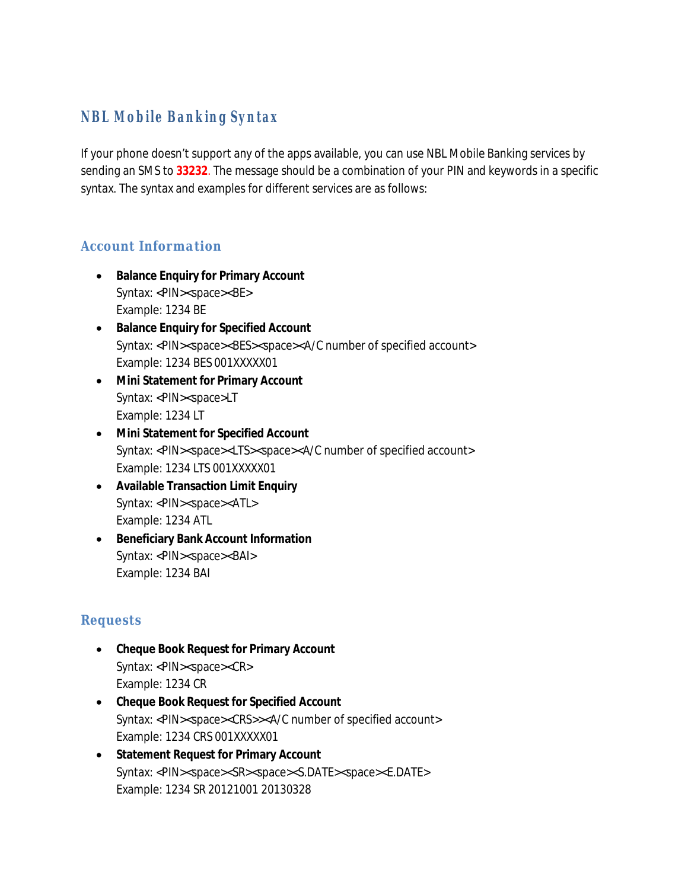# **NBL Mobile Banking Syntax**

If your phone doesn't support any of the apps available, you can use NBL Mobile Banking services by sending an SMS to **33232**. The message should be a combination of your PIN and keywords in a specific syntax. The syntax and examples for different services are as follows:

#### *Account Information*

- ∑ **Balance Enquiry for Primary Account** Syntax: <PIN><space><BE> Example: 1234 BE
- ∑ **Balance Enquiry for Specified Account** Syntax: <PIN><space><BES><space><A/C number of specified account> Example: 1234 BES 001XXXXX01
- ∑ **Mini Statement for Primary Account** Syntax: <PIN><space>LT Example: 1234 LT
- ∑ **Mini Statement for Specified Account** Syntax: <PIN><space><LTS><space><A/C number of specified account> Example: 1234 LTS 001XXXXX01
- ∑ **Available Transaction Limit Enquiry** Syntax: <PIN><space><ATL> Example: 1234 ATL
- ∑ **Beneficiary Bank Account Information** Syntax: <PIN><space><BAI> Example: 1234 BAI

#### *Requests*

- ∑ **Cheque Book Request for Primary Account** Syntax: <PIN><space><CR> Example: 1234 CR
- ∑ **Cheque Book Request for Specified Account** Syntax: <PIN><space><CRS>><A/C number of specified account> Example: 1234 CRS 001XXXXX01
- ∑ **Statement Request for Primary Account** Syntax: <PIN><space><SR><space><S.DATE><space><E.DATE> Example: 1234 SR 20121001 20130328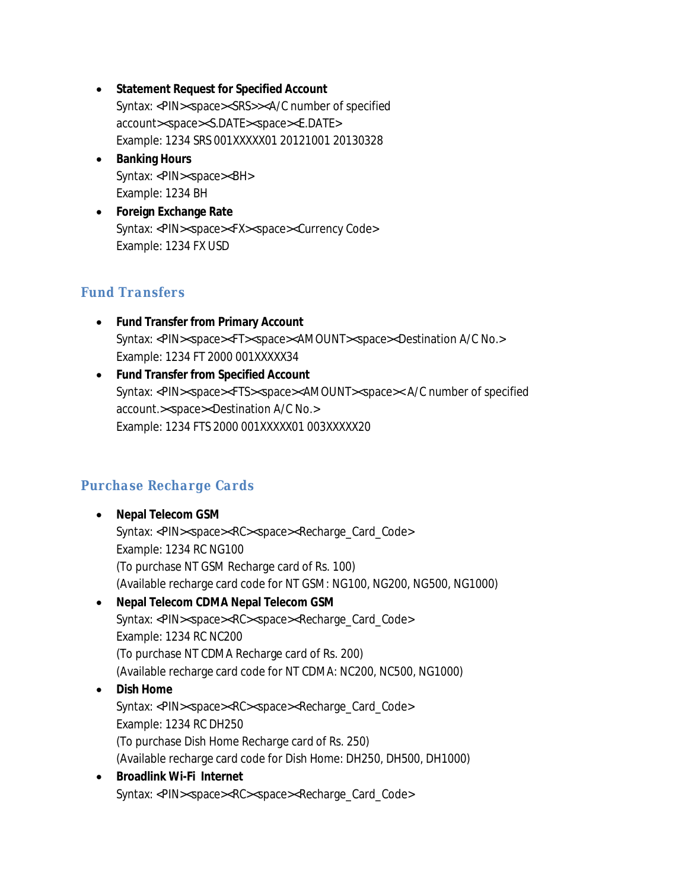- ∑ **Statement Request for Specified Account** Syntax: <PIN><space><SRS>><A/C number of specified account><space><S.DATE><space><E.DATE> Example: 1234 SRS 001XXXXX01 20121001 20130328
- ∑ **Banking Hours** Syntax: <PIN><space><BH> Example: 1234 BH
- ∑ **Foreign Exchange Rate** Syntax: <PIN><space><FX><space><Currency Code> Example: 1234 FX USD

## *Fund Transfers*

- ∑ **Fund Transfer from Primary Account** Syntax: <PIN><space><FT><space><AMOUNT><space><Destination A/C No.> Example: 1234 FT 2000 001XXXXX34
- ∑ **Fund Transfer from Specified Account** Syntax: <PIN><space><FTS><space><AMOUNT><space>< A/C number of specified account.><space><Destination A/C No.> Example: 1234 FTS 2000 001XXXXX01 003XXXXX20

## *Purchase Recharge Cards*

- ∑ **Nepal Telecom GSM** Syntax: <PIN><space><RC><space><Recharge\_Card\_Code> Example: 1234 RC NG100 (To purchase NT GSM Recharge card of Rs. 100) (Available recharge card code for NT GSM: NG100, NG200, NG500, NG1000)
- ∑ **Nepal Telecom CDMA Nepal Telecom GSM** Syntax: <PIN><space><RC><space><Recharge\_Card\_Code> Example: 1234 RC NC200 (To purchase NT CDMA Recharge card of Rs. 200) (Available recharge card code for NT CDMA: NC200, NC500, NG1000)
- ∑ **Dish Home** Syntax: <PIN><space><RC><space><Recharge\_Card\_Code> Example: 1234 RC DH250 (To purchase Dish Home Recharge card of Rs. 250) (Available recharge card code for Dish Home: DH250, DH500, DH1000)
- ∑ **Broadlink Wi-Fi Internet** Syntax: <PIN><space><RC><space><Recharge\_Card\_Code>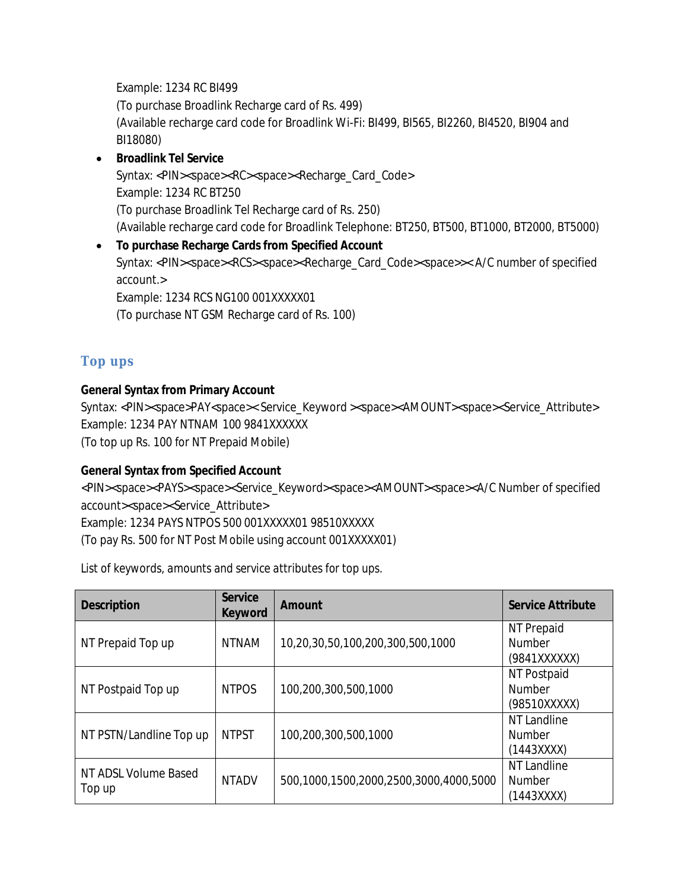Example: 1234 RC BI499 (To purchase Broadlink Recharge card of Rs. 499) (Available recharge card code for Broadlink Wi-Fi: BI499, BI565, BI2260, BI4520, BI904 and BI18080)

- ∑ **Broadlink Tel Service** Syntax: <PIN><space><RC><space><Recharge\_Card\_Code> Example: 1234 RC BT250 (To purchase Broadlink Tel Recharge card of Rs. 250) (Available recharge card code for Broadlink Telephone: BT250, BT500, BT1000, BT2000, BT5000)
- ∑ **To purchase Recharge Cards from Specified Account** Syntax: <PIN><space><RCS><space><Recharge\_Card\_Code><space>>< A/C number of specified account.> Example: 1234 RCS NG100 001XXXXX01 (To purchase NT GSM Recharge card of Rs. 100)

### *Top ups*

**General Syntax from Primary Account**

Syntax: <PIN><space>PAY<space>< Service\_Keyword ><space><AMOUNT><space><Service\_Attribute> Example: 1234 PAY NTNAM 100 9841XXXXXX (To top up Rs. 100 for NT Prepaid Mobile)

**General Syntax from Specified Account**

<PIN><space><PAYS><space><Service\_Keyword><space><AMOUNT><space><A/C Number of specified account><space><Service\_Attribute>

Example: 1234 PAYS NTPOS 500 001XXXXX01 98510XXXXX

(To pay Rs. 500 for NT Post Mobile using account 001XXXXX01)

*List of keywords, amounts and service attributes for top ups.*

| Description                    | Service<br>Keyword | Amount                                 | Service Attribute                            |
|--------------------------------|--------------------|----------------------------------------|----------------------------------------------|
| NT Prepaid Top up              | <b>NTNAM</b>       | 10,20,30,50,100,200,300,500,1000       | NT Prepaid<br><b>Number</b><br>(9841XXXXXX)  |
| NT Postpaid Top up             | <b>NTPOS</b>       | 100,200,300,500,1000                   | NT Postpaid<br><b>Number</b><br>(98510XXXXX) |
| NT PSTN/Landline Top up        | <b>NTPST</b>       | 100,200,300,500,1000                   | NT Landline<br><b>Number</b><br>(1443XXX)    |
| NT ADSL Volume Based<br>Top up | <b>NTADV</b>       | 500,1000,1500,2000,2500,3000,4000,5000 | NT Landline<br><b>Number</b><br>(1443XXXX)   |